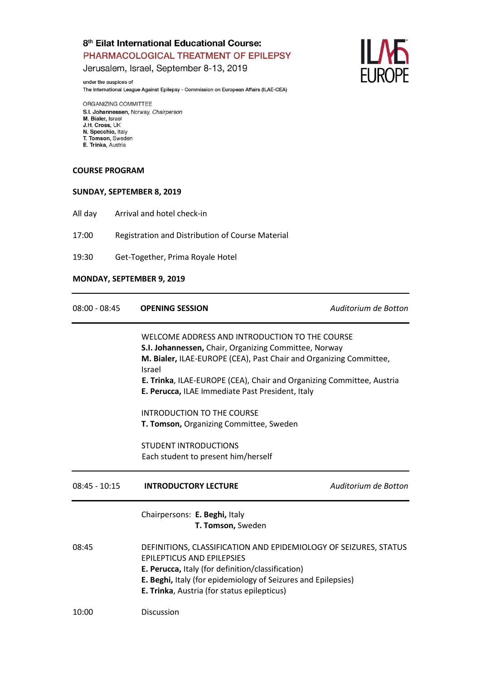Jerusalem, Israel, September 8-13, 2019

under the auspices of The International League Against Epilepsy - Commission on European Affairs (ILAE-CEA)

ORGANIZING COMMITTEE S.I. Johannessen, Norway, Chairperson M. Bialer, Israel<br>J.H. Cross, UK N. Specchio, Italy T. Tomson, Sweden E. Trinka, Austria

#### **COURSE PROGRAM**

#### **SUNDAY, SEPTEMBER 8, 2019**

All day Arrival and hotel check-in

17:00 Registration and Distribution of Course Material

19:30 Get-Together, Prima Royale Hotel

#### **MONDAY, SEPTEMBER 9, 2019**

| $08:00 - 08:45$ | <b>OPENING SESSION</b>                                                                                                                                     | Auditorium de Botton |
|-----------------|------------------------------------------------------------------------------------------------------------------------------------------------------------|----------------------|
|                 | WELCOME ADDRESS AND INTRODUCTION TO THE COURSE                                                                                                             |                      |
|                 | S.I. Johannessen, Chair, Organizing Committee, Norway                                                                                                      |                      |
|                 | M. Bialer, ILAE-EUROPE (CEA), Past Chair and Organizing Committee,<br>Israel                                                                               |                      |
|                 | E. Trinka, ILAE-EUROPE (CEA), Chair and Organizing Committee, Austria                                                                                      |                      |
|                 | E. Perucca, ILAE Immediate Past President, Italy                                                                                                           |                      |
|                 | INTRODUCTION TO THE COURSE                                                                                                                                 |                      |
|                 | T. Tomson, Organizing Committee, Sweden                                                                                                                    |                      |
|                 | <b>STUDENT INTRODUCTIONS</b>                                                                                                                               |                      |
|                 | Each student to present him/herself                                                                                                                        |                      |
| $08:45 - 10:15$ | <b>INTRODUCTORY LECTURE</b>                                                                                                                                | Auditorium de Botton |
|                 | Chairpersons: E. Beghi, Italy<br>T. Tomson, Sweden                                                                                                         |                      |
| 08:45           | DEFINITIONS, CLASSIFICATION AND EPIDEMIOLOGY OF SEIZURES, STATUS<br><b>EPILEPTICUS AND EPILEPSIES</b><br>E. Perucca, Italy (for definition/classification) |                      |
|                 | E. Beghi, Italy (for epidemiology of Seizures and Epilepsies)<br>E. Trinka, Austria (for status epilepticus)                                               |                      |
| 10:00           | Discussion                                                                                                                                                 |                      |

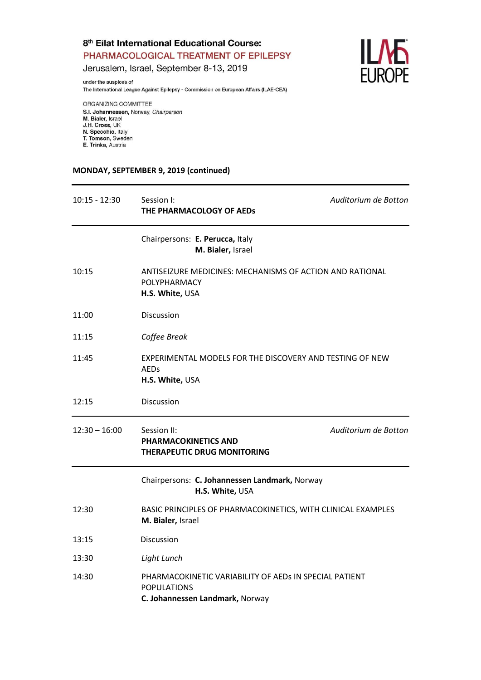Jerusalem, Israel, September 8-13, 2019

under the auspices of The International League Against Epilepsy - Commission on European Affairs (ILAE-CEA)

ORGANIZING COMMITTEE S.I. Johannessen, Norway, Chairperson M. Bialer, Israel<br>J.H. Cross, UK N. Specchio, Italy T. Tomson, Sweden E. Trinka, Austria

## **MONDAY, SEPTEMBER 9, 2019 (continued)**

| $10:15 - 12:30$ | Session I:<br>THE PHARMACOLOGY OF AEDs                                                                          | Auditorium de Botton |
|-----------------|-----------------------------------------------------------------------------------------------------------------|----------------------|
|                 | Chairpersons: E. Perucca, Italy<br>M. Bialer, Israel                                                            |                      |
| 10:15           | ANTISEIZURE MEDICINES: MECHANISMS OF ACTION AND RATIONAL<br><b>POLYPHARMACY</b><br>H.S. White, USA              |                      |
| 11:00           | Discussion                                                                                                      |                      |
| 11:15           | Coffee Break                                                                                                    |                      |
| 11:45           | EXPERIMENTAL MODELS FOR THE DISCOVERY AND TESTING OF NEW<br><b>AEDs</b><br>H.S. White, USA                      |                      |
| 12:15           | Discussion                                                                                                      |                      |
| $12:30 - 16:00$ | Session II:<br><b>PHARMACOKINETICS AND</b><br>THERAPEUTIC DRUG MONITORING                                       | Auditorium de Botton |
|                 | Chairpersons: C. Johannessen Landmark, Norway<br>H.S. White, USA                                                |                      |
| 12:30           | BASIC PRINCIPLES OF PHARMACOKINETICS, WITH CLINICAL EXAMPLES<br>M. Bialer, Israel                               |                      |
| 13:15           | Discussion                                                                                                      |                      |
| 13:30           | Light Lunch                                                                                                     |                      |
| 14:30           | PHARMACOKINETIC VARIABILITY OF AEDS IN SPECIAL PATIENT<br><b>POPULATIONS</b><br>C. Johannessen Landmark, Norway |                      |

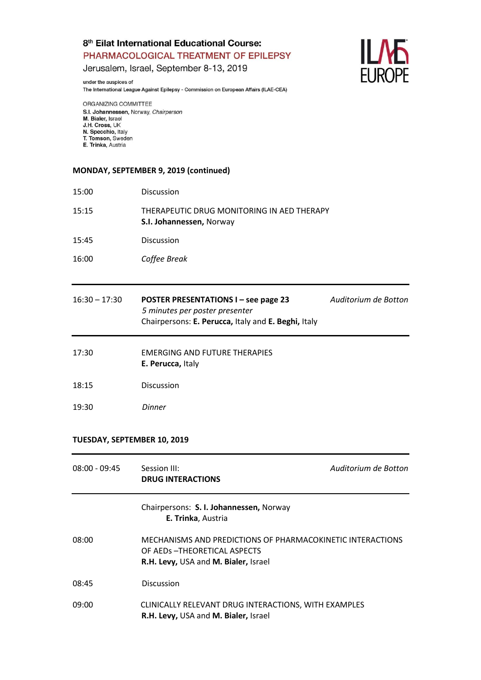Jerusalem, Israel, September 8-13, 2019

under the auspices of The International League Against Epilepsy - Commission on European Affairs (ILAE-CEA)



ORGANIZING COMMITTEE S.I. Johannessen, Norway, Chairperson M. Bialer, Israel<br>J.H. Cross, UK N. Specchio, Italy T. Tomson, Sweden E. Trinka, Austria

## **MONDAY, SEPTEMBER 9, 2019 (continued)**

| 15:00 | <b>Discussion</b>                                                      |
|-------|------------------------------------------------------------------------|
| 15:15 | THERAPEUTIC DRUG MONITORING IN AED THERAPY<br>S.I. Johannessen, Norway |
| 15:45 | Discussion                                                             |
| 16:00 | Coffee Break                                                           |

| $16:30 - 17:30$ | <b>POSTER PRESENTATIONS I – see page 23</b>         | Auditorium de Botton |
|-----------------|-----------------------------------------------------|----------------------|
|                 | 5 minutes per poster presenter                      |                      |
|                 | Chairpersons: E. Perucca, Italy and E. Beghi, Italy |                      |
|                 |                                                     |                      |

| 17:30 | EMERGING AND FUTURE THERAPIES |
|-------|-------------------------------|
|       | E. Perucca, Italy             |
|       |                               |

- 18:15 Discussion
- 19:30 *Dinner*

# **TUESDAY, SEPTEMBER 10, 2019**

| $08:00 - 09:45$ | Session III:<br><b>DRUG INTERACTIONS</b>                                                                                            | Auditorium de Botton |
|-----------------|-------------------------------------------------------------------------------------------------------------------------------------|----------------------|
|                 | Chairpersons: S. I. Johannessen, Norway<br>E. Trinka, Austria                                                                       |                      |
| 08:00           | MECHANISMS AND PREDICTIONS OF PHARMACOKINETIC INTERACTIONS<br>OF AEDS - THEORETICAL ASPECTS<br>R.H. Levy, USA and M. Bialer, Israel |                      |
| 08:45           | Discussion                                                                                                                          |                      |
| 09:00           | CLINICALLY RELEVANT DRUG INTERACTIONS, WITH EXAMPLES<br>R.H. Levy, USA and M. Bialer, Israel                                        |                      |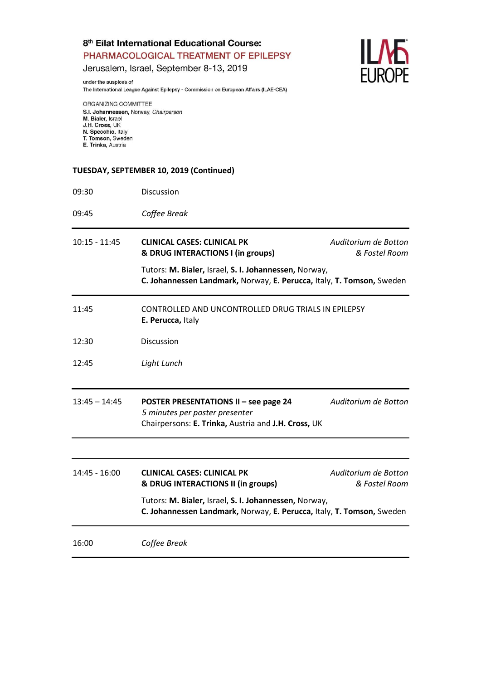Jerusalem, Israel, September 8-13, 2019

under the auspices of The International League Against Epilepsy - Commission on European Affairs (ILAE-CEA)



ORGANIZING COMMITTEE S.I. Johannessen, Norway, Chairperson M. Bialer, Israel<br>J.H. Cross, UK N. Specchio, Italy T. Tomson, Sweden E. Trinka, Austria

## **TUESDAY, SEPTEMBER 10, 2019 (Continued)**

| 09:30           | Discussion                                                                                                                            |                                       |
|-----------------|---------------------------------------------------------------------------------------------------------------------------------------|---------------------------------------|
| 09:45           | Coffee Break                                                                                                                          |                                       |
| $10:15 - 11:45$ | <b>CLINICAL CASES: CLINICAL PK</b><br>& DRUG INTERACTIONS I (in groups)                                                               | Auditorium de Botton<br>& Fostel Room |
|                 | Tutors: M. Bialer, Israel, S. I. Johannessen, Norway,<br>C. Johannessen Landmark, Norway, E. Perucca, Italy, T. Tomson, Sweden        |                                       |
| 11:45           | CONTROLLED AND UNCONTROLLED DRUG TRIALS IN EPILEPSY<br>E. Perucca, Italy                                                              |                                       |
| 12:30           | Discussion                                                                                                                            |                                       |
| 12:45           | Light Lunch                                                                                                                           |                                       |
| $13:45 - 14:45$ | <b>POSTER PRESENTATIONS II - see page 24</b><br>5 minutes per poster presenter<br>Chairpersons: E. Trinka, Austria and J.H. Cross, UK | Auditorium de Botton                  |
|                 |                                                                                                                                       |                                       |
| 14:45 - 16:00   | <b>CLINICAL CASES: CLINICAL PK</b><br>& DRUG INTERACTIONS II (in groups)                                                              | Auditorium de Botton<br>& Fostel Room |
|                 | Tutors: M. Bialer, Israel, S. I. Johannessen, Norway,<br>C. Johannessen Landmark, Norway, E. Perucca, Italy, T. Tomson, Sweden        |                                       |
| 16:00           | Coffee Break                                                                                                                          |                                       |
|                 |                                                                                                                                       |                                       |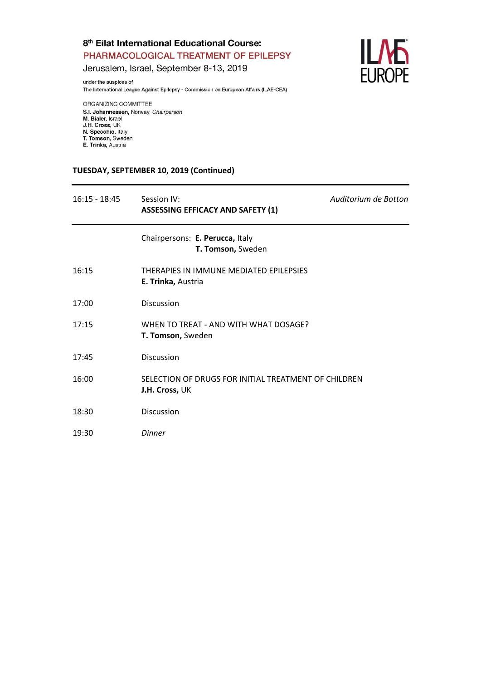Jerusalem, Israel, September 8-13, 2019

under the auspices of The International League Against Epilepsy - Commission on European Affairs (ILAE-CEA) **ILME**<br>EUROPE

ORGANIZING COMMITTEE S.I. Johannessen, Norway, Chairperson M. Bialer, Israel<br>J.H. Cross, UK N. Specchio, Italy T. Tomson, Sweden E. Trinka, Austria

## **TUESDAY, SEPTEMBER 10, 2019 (Continued)**

| $16:15 - 18:45$ | Session IV:<br><b>ASSESSING EFFICACY AND SAFETY (1)</b>                | Auditorium de Botton |
|-----------------|------------------------------------------------------------------------|----------------------|
|                 | Chairpersons: E. Perucca, Italy<br>T. Tomson, Sweden                   |                      |
| 16:15           | THERAPIES IN IMMUNE MEDIATED EPILEPSIES<br>E. Trinka, Austria          |                      |
| 17:00           | Discussion                                                             |                      |
| 17:15           | WHEN TO TREAT - AND WITH WHAT DOSAGE?<br>T. Tomson, Sweden             |                      |
| 17:45           | Discussion                                                             |                      |
| 16:00           | SELECTION OF DRUGS FOR INITIAL TREATMENT OF CHILDREN<br>J.H. Cross, UK |                      |
| 18:30           | Discussion                                                             |                      |
| 19:30           | <b>Dinner</b>                                                          |                      |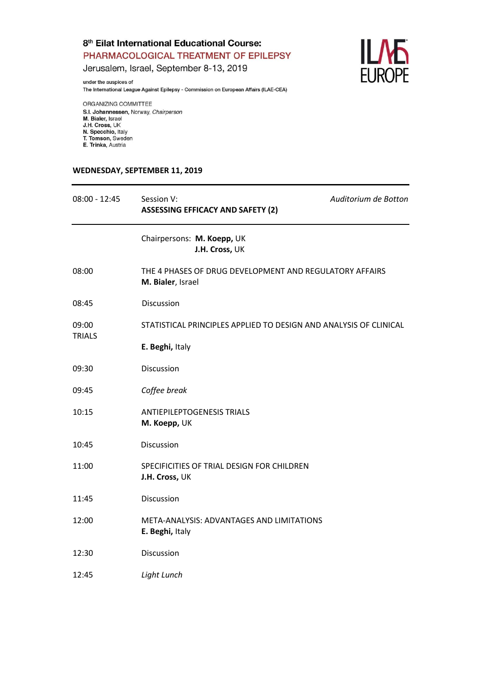**ILME**<br>EUROPE

Jerusalem, Israel, September 8-13, 2019

under the auspices of The International League Against Epilepsy - Commission on European Affairs (ILAE-CEA)

ORGANIZING COMMITTEE S.I. Johannessen, Norway, Chairperson M. Bialer, Israel<br>J.H. Cross, UK N. Specchio, Italy

T. Tomson, Sweden E. Trinka, Austria

#### WEDNESDAY, SEPTEMBER 11, 2019

| $08:00 - 12:45$ | Session V:<br><b>ASSESSING EFFICACY AND SAFETY (2)</b>                       | Auditorium de Botton |
|-----------------|------------------------------------------------------------------------------|----------------------|
|                 | Chairpersons: M. Koepp, UK<br>J.H. Cross, UK                                 |                      |
| 08:00           | THE 4 PHASES OF DRUG DEVELOPMENT AND REGULATORY AFFAIRS<br>M. Bialer, Israel |                      |
| 08:45           | Discussion                                                                   |                      |
| 09:00           | STATISTICAL PRINCIPLES APPLIED TO DESIGN AND ANALYSIS OF CLINICAL            |                      |
| <b>TRIALS</b>   | E. Beghi, Italy                                                              |                      |
| 09:30           | Discussion                                                                   |                      |
| 09:45           | Coffee break                                                                 |                      |
| 10:15           | <b>ANTIEPILEPTOGENESIS TRIALS</b><br>M. Koepp, UK                            |                      |
| 10:45           | Discussion                                                                   |                      |
| 11:00           | SPECIFICITIES OF TRIAL DESIGN FOR CHILDREN<br>J.H. Cross, UK                 |                      |
| 11:45           | Discussion                                                                   |                      |
| 12:00           | META-ANALYSIS: ADVANTAGES AND LIMITATIONS<br>E. Beghi, Italy                 |                      |
| 12:30           | Discussion                                                                   |                      |
| 12:45           | Light Lunch                                                                  |                      |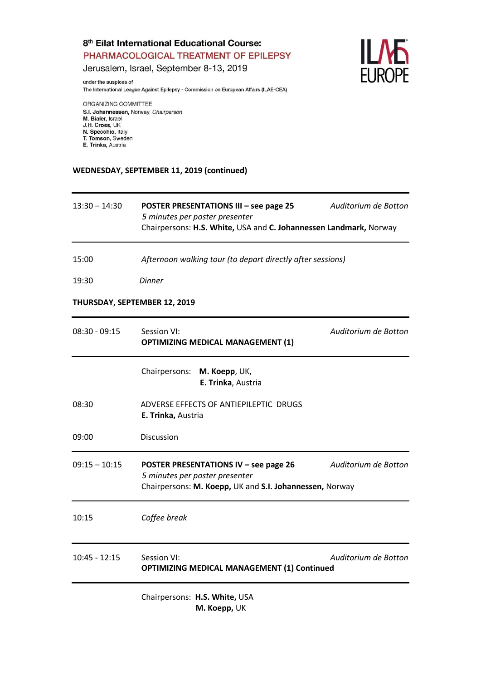Jerusalem, Israel, September 8-13, 2019

The International League Against Epilepsy - Commission on European Affairs (ILAE-CEA)



ORGANIZING COMMITTEE S.I. Johannessen, Norway, Chairperson M. Bialer, Israel<br>J.H. Cross, UK N. Specchio, Italy T. Tomson, Sweden E. Trinka, Austria

under the auspices of

## WEDNESDAY, SEPTEMBER 11, 2019 (continued)

| $13:30 - 14:30$ | <b>POSTER PRESENTATIONS III - see page 25</b><br>5 minutes per poster presenter<br>Chairpersons: H.S. White, USA and C. Johannessen Landmark, Norway | Auditorium de Botton |
|-----------------|------------------------------------------------------------------------------------------------------------------------------------------------------|----------------------|
| 15:00           | Afternoon walking tour (to depart directly after sessions)                                                                                           |                      |
| 19:30           | <b>Dinner</b>                                                                                                                                        |                      |
|                 | THURSDAY, SEPTEMBER 12, 2019                                                                                                                         |                      |
| $08:30 - 09:15$ | Session VI:<br><b>OPTIMIZING MEDICAL MANAGEMENT (1)</b>                                                                                              | Auditorium de Botton |
|                 | Chairpersons:<br>M. Koepp, UK,<br>E. Trinka, Austria                                                                                                 |                      |
| 08:30           | ADVERSE EFFECTS OF ANTIEPILEPTIC DRUGS<br>E. Trinka, Austria                                                                                         |                      |
| 09:00           | Discussion                                                                                                                                           |                      |
| $09:15 - 10:15$ | <b>POSTER PRESENTATIONS IV - see page 26</b><br>5 minutes per poster presenter<br>Chairpersons: M. Koepp, UK and S.I. Johannessen, Norway            | Auditorium de Botton |
| 10:15           | Coffee break                                                                                                                                         |                      |
| $10:45 - 12:15$ | Session VI:<br><b>OPTIMIZING MEDICAL MANAGEMENT (1) Continued</b>                                                                                    | Auditorium de Botton |
|                 | Chairpersons: H.S. White, USA<br>M. Koepp, UK                                                                                                        |                      |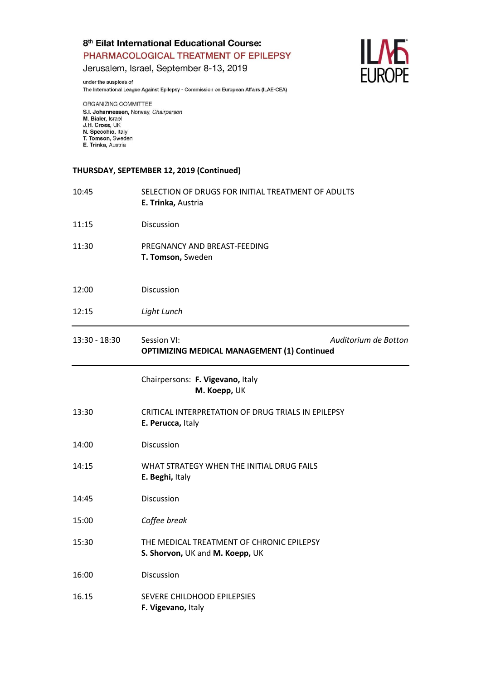Jerusalem, Israel, September 8-13, 2019

under the auspices of The International League Against Epilepsy - Commission on European Affairs (ILAE-CEA)



ORGANIZING COMMITTEE S.I. Johannessen, Norway, Chairperson M. Bialer, Israel<br>J.H. Cross, UK N. Specchio, Italy T. Tomson, Sweden E. Trinka, Austria

#### **THURSDAY, SEPTEMBER 12, 2019 (Continued)**

| 10:45         | SELECTION OF DRUGS FOR INITIAL TREATMENT OF ADULTS<br>E. Trinka, Austria     |                      |
|---------------|------------------------------------------------------------------------------|----------------------|
| 11:15         | Discussion                                                                   |                      |
| 11:30         | PREGNANCY AND BREAST-FEEDING<br>T. Tomson, Sweden                            |                      |
| 12:00         | Discussion                                                                   |                      |
| 12:15         | Light Lunch                                                                  |                      |
| 13:30 - 18:30 | Session VI:<br><b>OPTIMIZING MEDICAL MANAGEMENT (1) Continued</b>            | Auditorium de Botton |
|               | Chairpersons: F. Vigevano, Italy<br>M. Koepp, UK                             |                      |
| 13:30         | CRITICAL INTERPRETATION OF DRUG TRIALS IN EPILEPSY<br>E. Perucca, Italy      |                      |
| 14:00         | Discussion                                                                   |                      |
| 14:15         | WHAT STRATEGY WHEN THE INITIAL DRUG FAILS<br>E. Beghi, Italy                 |                      |
| 14:45         | Discussion                                                                   |                      |
| 15:00         | Coffee break                                                                 |                      |
| 15:30         | THE MEDICAL TREATMENT OF CHRONIC EPILEPSY<br>S. Shorvon, UK and M. Koepp, UK |                      |
| 16:00         | Discussion                                                                   |                      |
| 16.15         | SEVERE CHILDHOOD EPILEPSIES<br>F. Vigevano, Italy                            |                      |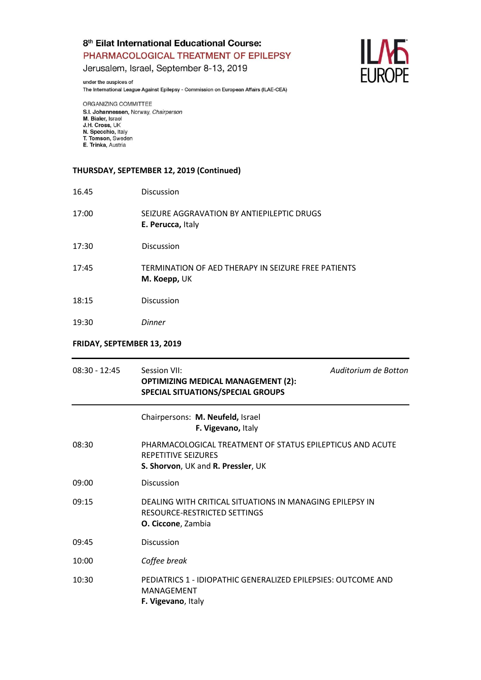Jerusalem, Israel, September 8-13, 2019

under the auspices of The International League Against Epilepsy - Commission on European Affairs (ILAE-CEA)



ORGANIZING COMMITTEE S.I. Johannessen, Norway, Chairperson M. Bialer, Israel<br>J.H. Cross, UK N. Specchio, Italy T. Tomson, Sweden E. Trinka, Austria

## **THURSDAY, SEPTEMBER 12, 2019 (Continued)**

| 16.45 | <b>Discussion</b>                                                   |
|-------|---------------------------------------------------------------------|
| 17:00 | SEIZURE AGGRAVATION BY ANTIEPILEPTIC DRUGS<br>E. Perucca, Italy     |
| 17:30 | <b>Discussion</b>                                                   |
| 17:45 | TERMINATION OF AED THERAPY IN SEIZURE FREE PATIENTS<br>M. Koepp, UK |
| 18:15 | Discussion                                                          |
| 19:30 | <b>Dinner</b>                                                       |
|       |                                                                     |

## **FRIDAY, SEPTEMBER 13, 2019**

| $08:30 - 12:45$ | Session VII:<br><b>OPTIMIZING MEDICAL MANAGEMENT (2):</b><br><b>SPECIAL SITUATIONS/SPECIAL GROUPS</b>                         | Auditorium de Botton |
|-----------------|-------------------------------------------------------------------------------------------------------------------------------|----------------------|
|                 | Chairpersons: M. Neufeld, Israel<br>F. Vigevano, Italy                                                                        |                      |
| 08:30           | PHARMACOLOGICAL TREATMENT OF STATUS EPILEPTICUS AND ACUTE<br><b>REPETITIVE SEIZURES</b><br>S. Shorvon, UK and R. Pressler, UK |                      |
| 09:00           | <b>Discussion</b>                                                                                                             |                      |
| 09:15           | DEALING WITH CRITICAL SITUATIONS IN MANAGING EPILEPSY IN<br>RESOURCE-RESTRICTED SETTINGS<br>O. Ciccone, Zambia                |                      |
| 09:45           | <b>Discussion</b>                                                                                                             |                      |
| 10:00           | Coffee break                                                                                                                  |                      |
| 10:30           | PEDIATRICS 1 - IDIOPATHIC GENERALIZED EPILEPSIES: OUTCOME AND<br>MANAGEMENT<br>F. Vigevano, Italy                             |                      |